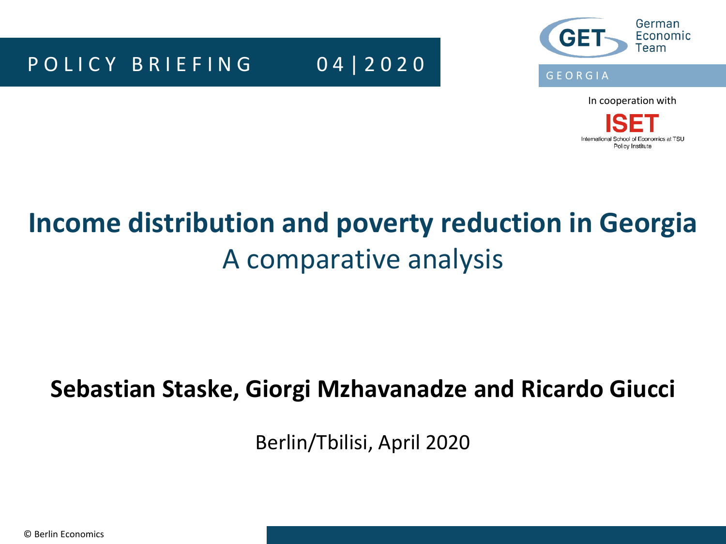### P O L I C Y B R I E F I N G 0 4 | 2 0 2 0



In cooperation with

International School of Economics at TSU Policy Institute

# **Income distribution and poverty reduction in Georgia** A comparative analysis

### **Sebastian Staske, Giorgi Mzhavanadze and Ricardo Giucci**

Berlin/Tbilisi, April 2020

© Berlin Economics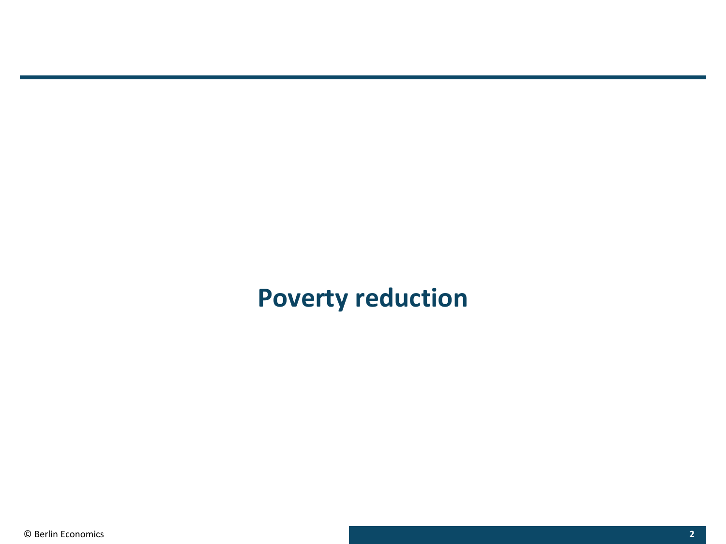### **Poverty reduction**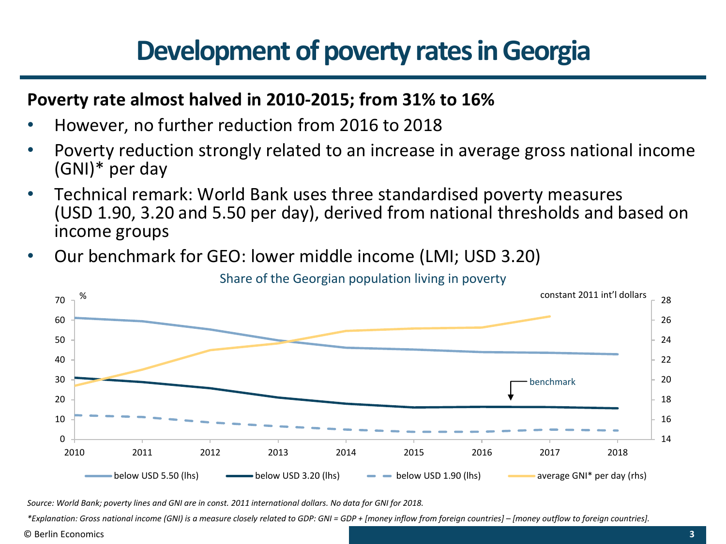# **Development of poverty rates in Georgia**

### **Poverty rate almost halved in 2010-2015; from 31% to 16%**

- However, no further reduction from 2016 to 2018
- Poverty reduction strongly related to an increase in average gross national income (GNI)\* per day
- Technical remark: World Bank uses three standardised poverty measures (USD 1.90, 3.20 and 5.50 per day), derived from national thresholds and based on income groups
- Our benchmark for GEO: lower middle income (LMI; USD 3.20)



Source: World Bank; poverty lines and GNI are in const. 2011 international dollars. No data for GNI for 2018.

\*Explanation: Gross national income (GNI) is a measure closely related to GDP: GNI = GDP + [money inflow from foreign countries] - [money outflow to foreign countries].

© Berlin Economics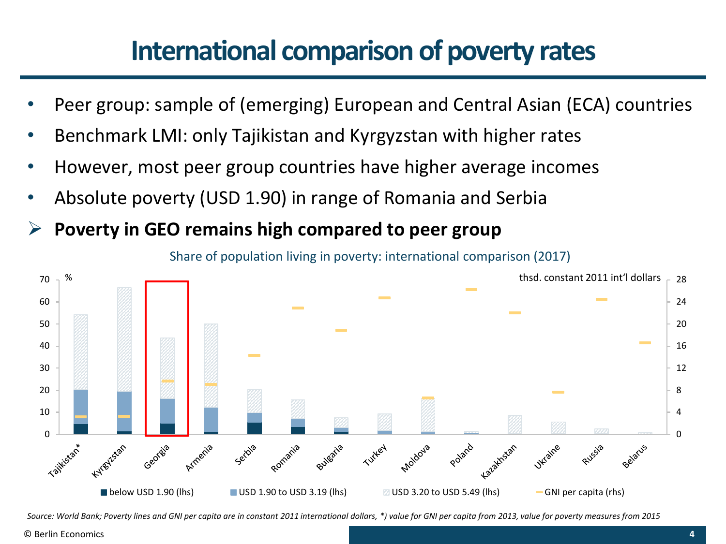### **International comparison of poverty rates**

- Peer group: sample of (emerging) European and Central Asian (ECA) countries
- Benchmark LMI: only Tajikistan and Kyrgyzstan with higher rates
- However, most peer group countries have higher average incomes
- Absolute poverty (USD 1.90) in range of Romania and Serbia
- ➢ **Poverty in GEO remains high compared to peer group**

Share of population living in poverty: international comparison (2017)



Source: World Bank; Poverty lines and GNI per capita are in constant 2011 international dollars, \*) value for GNI per capita from 2013, value for poverty measures from 2015

© Berlin Economics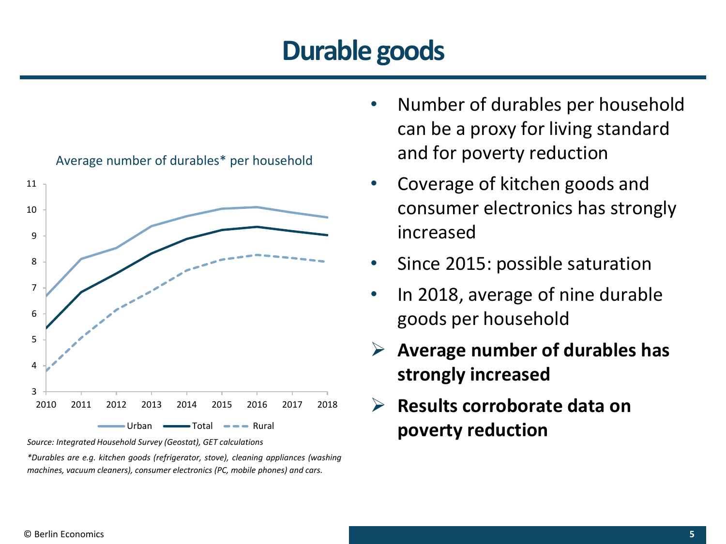# **Durable goods**



*Source: Integrated Household Survey (Geostat), GET calculations*

*\*Durables are e.g. kitchen goods (refrigerator, stove), cleaning appliances (washing machines, vacuum cleaners), consumer electronics (PC, mobile phones) and cars.*

- Number of durables per household can be a proxy for living standard and for poverty reduction
- Coverage of kitchen goods and consumer electronics has strongly increased
- Since 2015: possible saturation
- In 2018, average of nine durable goods per household
- ➢ **Average number of durables has strongly increased**
- ➢ **Results corroborate data on poverty reduction**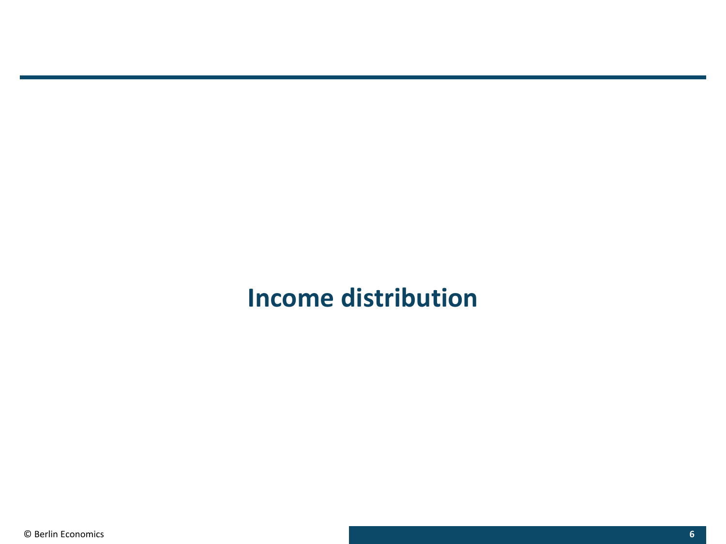### **Income distribution**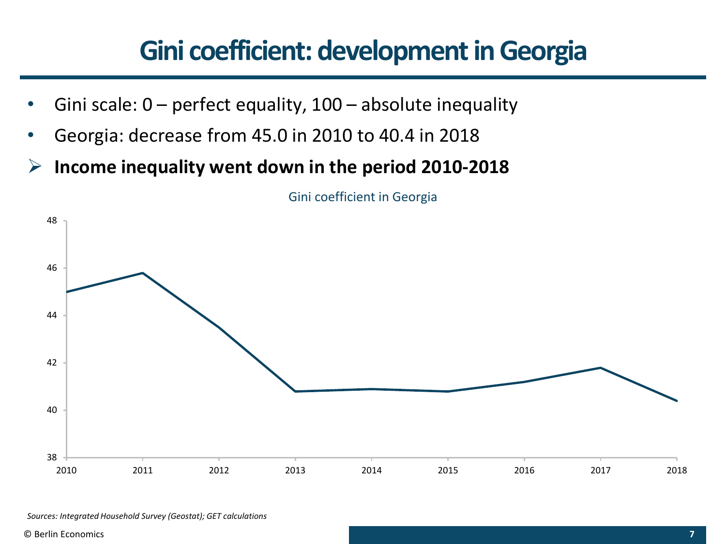# **Gini coefficient: development in Georgia**

- Gini scale:  $0$  perfect equality,  $100$  absolute inequality
- Georgia: decrease from 45.0 in 2010 to 40.4 in 2018
- ➢ **Income inequality went down in the period 2010-2018**



Gini coefficient in Georgia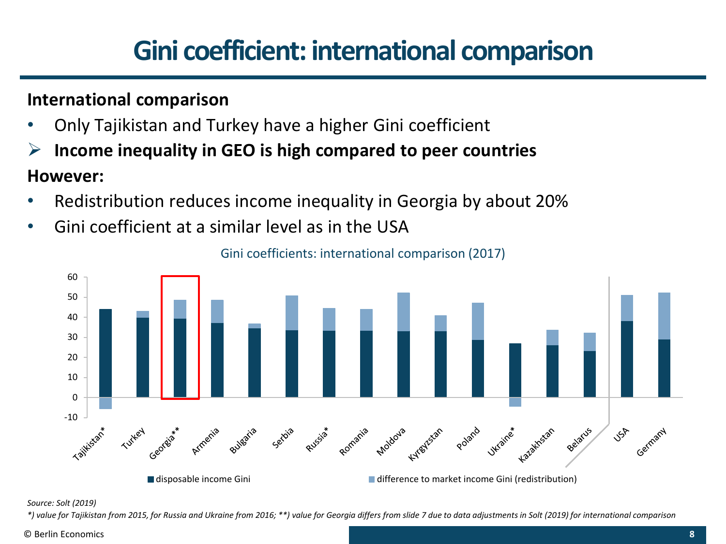# **Gini coefficient: international comparison**

### **International comparison**

- Only Tajikistan and Turkey have a higher Gini coefficient
- ➢ **Income inequality in GEO is high compared to peer countries**

#### **However:**

- Redistribution reduces income inequality in Georgia by about 20%
- Gini coefficient at a similar level as in the USA



Gini coefficients: international comparison (2017)

#### *Source: Solt (2019)*

\*) value for Tajikistan from 2015, for Russia and Ukraine from 2016; \*\*) value for Georgia differs from slide 7 due to data adjustments in Solt (2019) for international comparison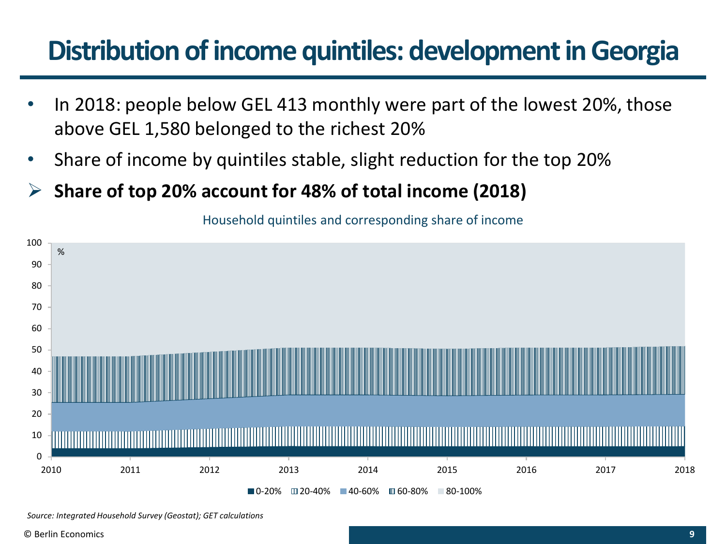# **Distribution of income quintiles: development in Georgia**

- In 2018: people below GEL 413 monthly were part of the lowest 20%, those above GEL 1,580 belonged to the richest 20%
- Share of income by quintiles stable, slight reduction for the top 20%
- ➢ **Share of top 20% account for 48% of total income (2018)**

Household quintiles and corresponding share of income



*Source: Integrated Household Survey (Geostat); GET calculations*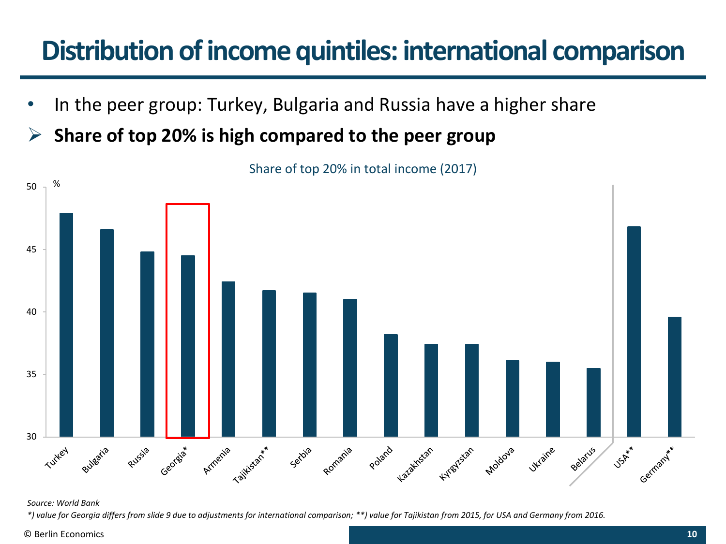# **Distribution of income quintiles: international comparison**

- In the peer group: Turkey, Bulgaria and Russia have a higher share
- ➢ **Share of top 20% is high compared to the peer group**



Share of top 20% in total income (2017)

#### *Source: World Bank*

\*) value for Georgia differs from slide 9 due to adjustments for international comparison; \*\*) value for Tajikistan from 2015, for USA and Germany from 2016.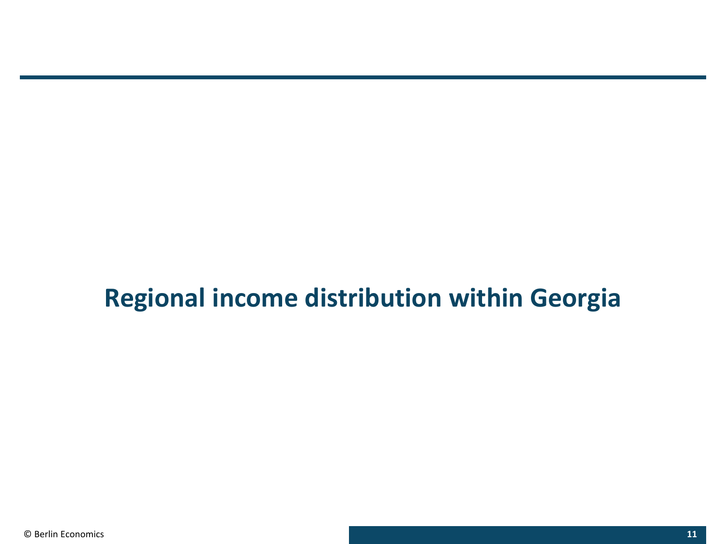### **Regional income distribution within Georgia**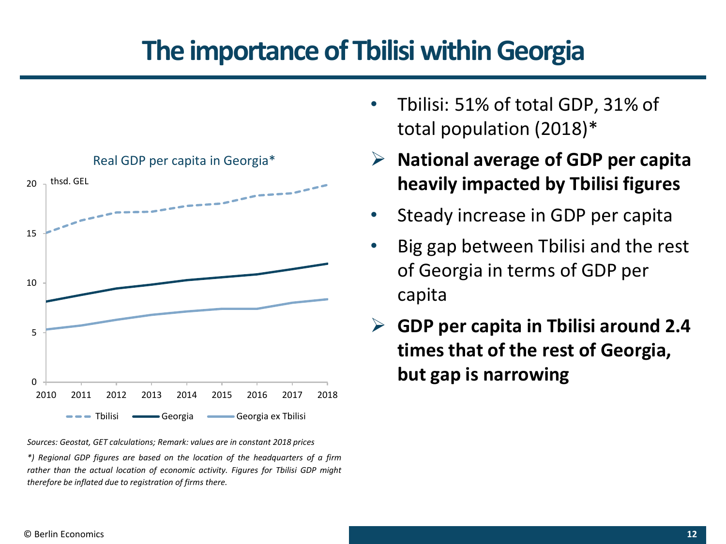### **The importance of Tbilisi withinGeorgia**



*Sources: Geostat, GET calculations; Remark: values are in constant 2018 prices \*) Regional GDP figures are based on the location of the headquarters of a firm rather than the actual location of economic activity. Figures for Tbilisi GDP might therefore be inflated due to registration of firms there.*

- Tbilisi: 51% of total GDP, 31% of total population (2018)\*
- ➢ **National average of GDP per capita heavily impacted by Tbilisi figures**
- Steady increase in GDP per capita
- Big gap between Tbilisi and the rest of Georgia in terms of GDP per capita
- ➢ **GDP per capita in Tbilisi around 2.4 times that of the rest of Georgia, but gap is narrowing**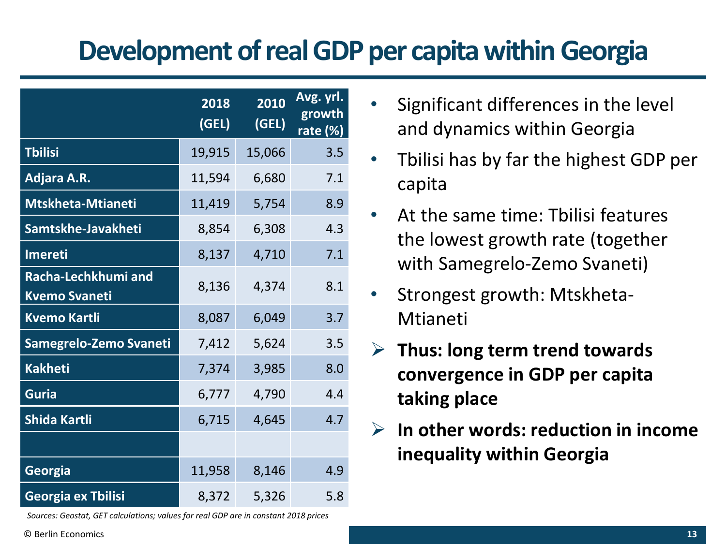# **Development of real GDP per capita within Georgia**

|                                             | 2018<br>(GEL) | 2010<br>(GEL) | Avg. yrl.<br>growth<br>rate (%) |
|---------------------------------------------|---------------|---------------|---------------------------------|
| <b>Tbilisi</b>                              | 19,915        | 15,066        | 3.5                             |
| Adjara A.R.                                 | 11,594        | 6,680         | 7.1                             |
| <b>Mtskheta-Mtianeti</b>                    | 11,419        | 5,754         | 8.9                             |
| Samtskhe-Javakheti                          | 8,854         | 6,308         | 4.3                             |
| <b>Imereti</b>                              | 8,137         | 4,710         | 7.1                             |
| Racha-Lechkhumi and<br><b>Kvemo Svaneti</b> | 8,136         | 4,374         | 8.1                             |
| <b>Kvemo Kartli</b>                         | 8,087         | 6,049         | 3.7                             |
| Samegrelo-Zemo Svaneti                      | 7,412         | 5,624         | 3.5                             |
| <b>Kakheti</b>                              | 7,374         | 3,985         | 8.0                             |
| <b>Guria</b>                                | 6,777         | 4,790         | 4.4                             |
| Shida Kartli                                | 6,715         | 4,645         | 4.7                             |
|                                             |               |               |                                 |
| Georgia                                     | 11,958        | 8,146         | 4.9                             |
| Georgia ex Tbilisi                          | 8,372         | 5,326         | 5.8                             |

*Sources: Geostat, GET calculations; values for real GDP are in constant 2018 prices*

- Significant differences in the level and dynamics within Georgia
- Tbilisi has by far the highest GDP per capita
- At the same time: Tbilisi features the lowest growth rate (together with Samegrelo-Zemo Svaneti)
- Strongest growth: Mtskheta-Mtianeti
- ➢ **Thus: long term trend towards convergence in GDP per capita taking place**
- ➢ **In other words: reduction in income inequality within Georgia**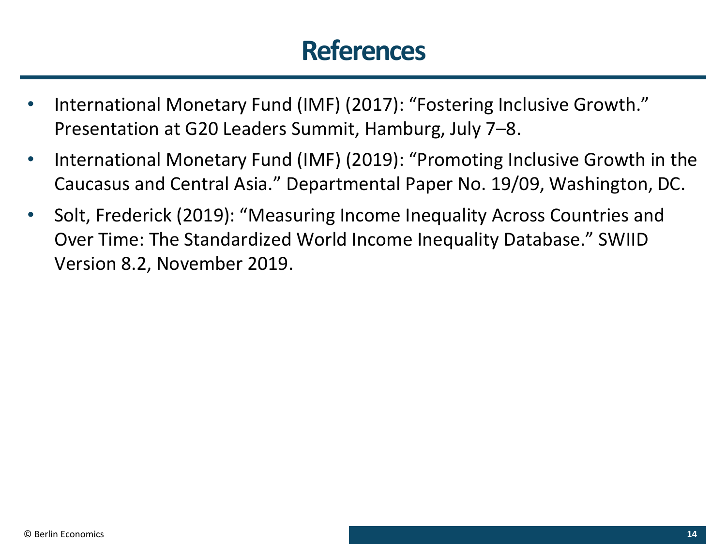### **References**

- International Monetary Fund (IMF) (2017): "Fostering Inclusive Growth." Presentation at G20 Leaders Summit, Hamburg, July 7–8.
- International Monetary Fund (IMF) (2019): "Promoting Inclusive Growth in the Caucasus and Central Asia." Departmental Paper No. 19/09, Washington, DC.
- Solt, Frederick (2019): "Measuring Income Inequality Across Countries and Over Time: The Standardized World Income Inequality Database." SWIID Version 8.2, November 2019.